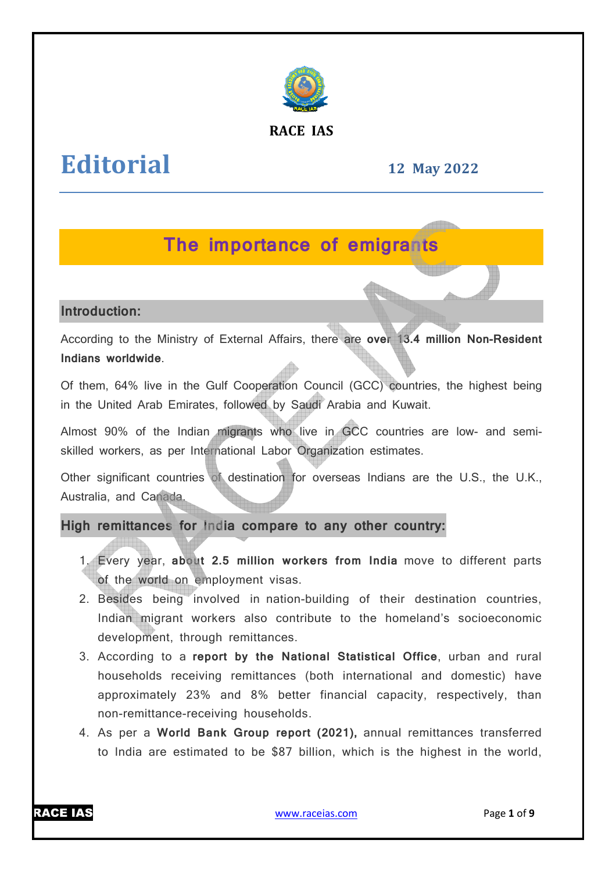

### **RACE IAS**

# **Editorial**

**12 May 2022**

## **The importance of emigrants**

### **Introduction:**

According to the Ministry of External Affairs, there are **over 13.4 million Non Non-Resident Indians worldwide**.

Of them, 64% live in the Gulf Cooperation Council (GCC) countries, the highest being in the United Arab Emirates, followed by Saudi Arabia and Kuwait.

Almost 90% of the Indian migrants who live in GCC countries are low- and semiskilled workers, as per International Labor Organization estimates.

Other significant countries of destination for overseas Indians are the U.S., the U.K., Australia, and Canada.

**High remittances for India compare to any other country:**

- 1. Every year, **about 2.5 million workers from In India** move to different parts of the world on employment visas.
- 2. Besides being involved in nation-building of their destination countries, Indian migrant workers also contribute to the homeland's socioeconomic development, through remittances.
- 3. According to a **report by the National Statistical Office** , urban and rural households receiving remittances (both international and domestic) have approximately 23% and 8% better financial capacity, respectively, than non-remittance-receiving households.
- 4. As per a World Bank Group report (2021), annual remittances transferred to India are estimated to be \$87 billion, which is the highest in the world,



www.raceias.com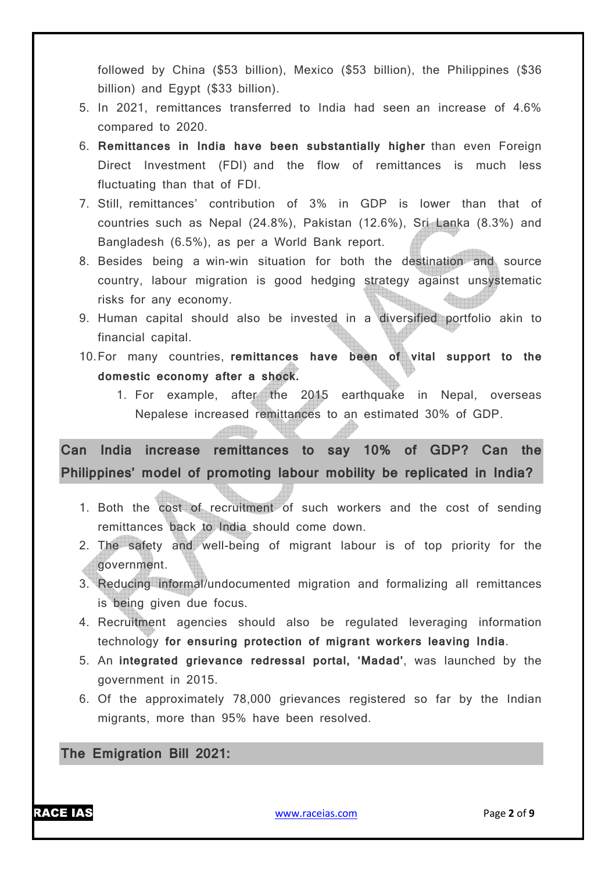followed by China (\$53 billion), Mexico (\$53 billion), the Philippines (\$36 billion) and Egypt (\$33 billion).

- 5. In 2021, remittances transferred to India had seen an increase of 4.6% compared to 2020.
- 6. **Remittances in India have been substantially higher** than even Foreign Direct Investment (FDI) and the flow of remittances is much less fluctuating than that of FDI.
- 7. Still, remittances' contribution of 3% in GDP is lower than that of countries such as Nepal (24.8%), Pakistan (12.6%), Sri Lanka (8.3%) and Bangladesh (6.5%), as per a World Bank report.
- 8. Besides being a win-win situation for both the destination and source country, labour migration is good hedging strategy against unsystematic risks for any economy.
- 9. Human capital should also be invested in a diversified portfolio akin to financial capital.
- 10.For many countries, **remittances have been of vital support to the domestic economy after a shock.**
	- 1. For example, after the 2015 earthquake in Nepal, overseas Nepalese increased remittances to an estimated 30% of GDP.

**Can India increase remittances to say 10% of GDP? Can the Philippines' model of promoting labour mobility be replicated in India?**

- 1. Both the cost of recruitment of such workers and the cost of sending remittances back to India should come down.
- 2. The safety and well-being of migrant labour is of top priority for the government.
- 3. Reducing informal/undocumented migration and formalizing all remittances is being given due focus.
- 4. Recruitment agencies should also be regulated leveraging information technology **for ensuring protection of migrant workers leaving India**.
- 5. An **integrated grievance redressal portal, 'Madad'**, was launched by the government in 2015.
- 6. Of the approximately 78,000 grievances registered so far by the Indian migrants, more than 95% have been resolved.

**The Emigration Bill 2021:**

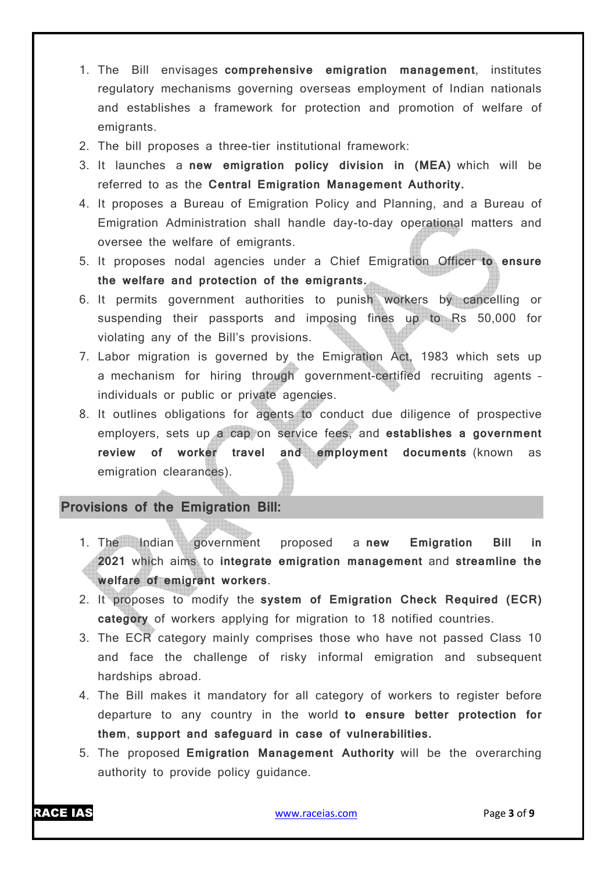- 1. The Bill envisages **comprehensive emigration management**, institutes regulatory mechanisms governing overseas employment of Indian nationals and establishes a framework for protection and promotion of welfare of emigrants.
- 2. The bill proposes a three-tier institutional framework:
- 3. It launches a **new emigration policy division in (MEA)** which will be referred to as the **Central Emigration Management Authority.**
- 4. It proposes a Bureau of Emigration Policy and Planning, and a Bureau of Emigration Administration shall handle day-to-day operational matters and oversee the welfare of emigrants.
- 5. It proposes nodal agencies under a Chief Emigration Officer **to ensure the welfare and protection of the emigrants.**
- 6. It permits government authorities to punish workers by cancelling or suspending their passports and imposing fines up to Rs 50,000 for violating any of the Bill's provisions.
- 7. Labor migration is governed by the Emigration Act, 1983 which sets up a mechanism for hiring through government-certified recruiting agents – individuals or public or private agencies.
- 8. It outlines obligations for agents to conduct due diligence of prospective employers, sets up a cap on service fees, and **establishes a government review of worker travel and employment documents** (known as emigration clearances).

### **Provisions of the Emigration Bill:**

- 1. The Indian government proposed a **new Emigration Bill in 2021** which aims to **integrate emigration management** and **streamline the welfare of emigrant workers**.
- 2. It proposes to modify the **system of Emigration Check Required (ECR) category** of workers applying for migration to 18 notified countries.
- 3. The ECR category mainly comprises those who have not passed Class 10 and face the challenge of risky informal emigration and subsequent hardships abroad.
- 4. The Bill makes it mandatory for all category of workers to register before departure to any country in the world **to ensure better protection for them**, **support and safeguard in case of vulnerabilities.**
- 5. The proposed **Emigration Management Authority** will be the overarching authority to provide policy guidance.

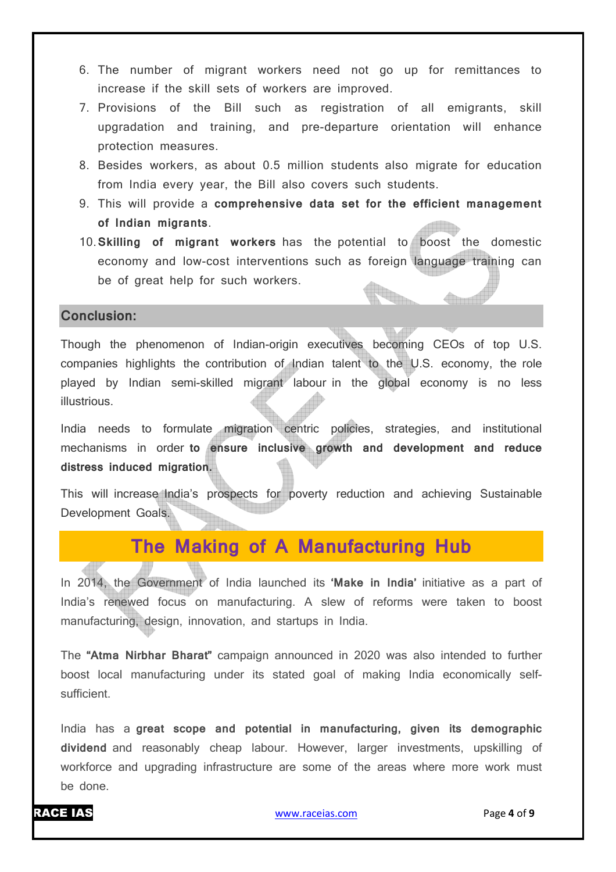- 6. The number of migrant workers need not go up for remittances to increase if the skill sets of workers are improved.
- 7. Provisions of the Bill such as registration of all emigrants, skill upgradation and training, and pre-departure orientation will enhance protection measures.
- 8. Besides workers, as about 0.5 million students also migrate for education from India every year, the Bill also covers such students.
- 9. This will provide a **comprehensive data set for the efficient management of Indian migrants**.
- 10.**Skilling of migrant workers** has the potential to boost the domestic economy and low-cost interventions such as foreign language training can be of great help for such workers.

### **Conclusion:**

Though the phenomenon of Indian-origin executives becoming CEOs of top U.S. companies highlights the contribution of Indian talent to the U.S. economy, the role played by Indian semi-skilled migrant labour in the global economy is no less illustrious.

India needs to formulate migration centric policies, strategies, and institutional mechanisms in order **to ensure inclusive growth and development and reduce distress induced migration.**

This will increase India's prospects for poverty reduction and achieving Sustainable Development Goals.

## **The Making of A Manufacturing Hub**

In 2014, the Government of India launched its **'Make in India'** initiative as a part of India's renewed focus on manufacturing. A slew of reforms were taken to boost manufacturing, design, innovation, and startups in India.

The **"Atma Nirbhar Bharat"** campaign announced in 2020 was also intended to further boost local manufacturing under its stated goal of making India economically selfsufficient.

India has a **great scope and potential in manufacturing, given its demographic dividend** and reasonably cheap labour. However, larger investments, upskilling of workforce and upgrading infrastructure are some of the areas where more work must be done.

**Grand**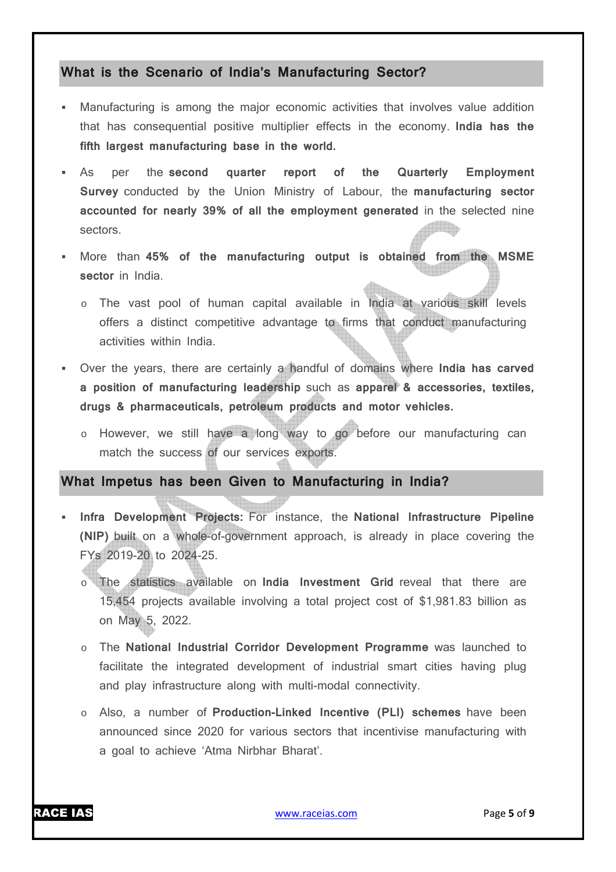### **What is the Scenario of India's Manufacturing Sector?**

- Manufacturing is among the major economic activities that involves value addition that has consequential positive multiplier effects in the economy. **India has the fifth largest manufacturing base in the world.**
- As per the **second quarter report of the Quarterly Employment Survey** conducted by the Union Ministry of Labour, the **manufacturing sector accounted for nearly 39% of all the employment generated** in the selected nine sectors.
- More than **45% of the manufacturing output is obtained from the MSME sector** in India.
	- o The vast pool of human capital available in India at various skill levels offers a distinct competitive advantage to firms that conduct manufacturing activities within India.
- Over the years, there are certainly a handful of domains where **India has carved a position of manufacturing leadership** such as **apparel & accessories, textiles, drugs & pharmaceuticals, petroleum products and motor vehicles.**
	- o However, we still have a long way to go before our manufacturing can match the success of our services exports.

### **What Impetus has been Given to Manufacturing in India?**

- **Infra Development Projects:** For instance, the **National Infrastructure Pipeline (NIP)** built on a whole-of-government approach, is already in place covering the FYs 2019-20 to 2024-25.
	- o The statistics available on **India Investment Grid** reveal that there are 15,454 projects available involving a total project cost of \$1,981.83 billion as on May 5, 2022.
	- o The **National Industrial Corridor Development Programme** was launched to facilitate the integrated development of industrial smart cities having plug and play infrastructure along with multi-modal connectivity.
	- o Also, a number of **Production-Linked Incentive (PLI) schemes** have been announced since 2020 for various sectors that incentivise manufacturing with a goal to achieve 'Atma Nirbhar Bharat'.

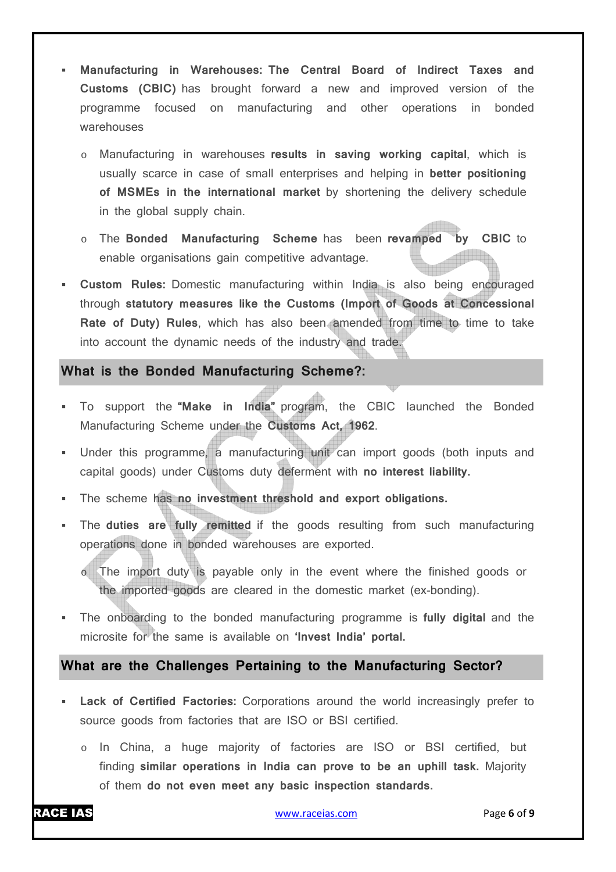- **Manufacturing in Warehouses: The Central Board of Indirect Taxes and Customs (CBIC)** has brought forward a new and improved version of the programme focused on manufacturing and other operations in bonded warehouses
	- o Manufacturing in warehouses **results in saving working capital**, which is usually scarce in case of small enterprises and helping in **better positioning of MSMEs in the international market** by shortening the delivery schedule in the global supply chain.
	- o The **Bonded Manufacturing Scheme** has been **revamped by CBIC** to enable organisations gain competitive advantage.
- **Custom Rules:** Domestic manufacturing within India is also being encouraged through **statutory measures like the Customs (Import of Goods at Concessional Rate of Duty) Rules**, which has also been amended from time to time to take into account the dynamic needs of the industry and trade.

### **What is the Bonded Manufacturing Scheme?:**

- To support the **"Make in India"** program, the CBIC launched the Bonded Manufacturing Scheme under the **Customs Act, 1962**.
- Under this programme, a manufacturing unit can import goods (both inputs and capital goods) under Customs duty deferment with **no interest liability.**
- The scheme has **no investment threshold and export obligations.**
- The **duties are fully remitted** if the goods resulting from such manufacturing operations done in bonded warehouses are exported.
	- o The import duty is payable only in the event where the finished goods or the imported goods are cleared in the domestic market (ex-bonding).
- The onboarding to the bonded manufacturing programme is **fully digital** and the microsite for the same is available on **'Invest India' portal.**

### **What are the Challenges Pertaining to the Manufacturing Sector?**

- **Lack of Certified Factories:** Corporations around the world increasingly prefer to source goods from factories that are ISO or BSI certified.
	- o In China, a huge majority of factories are ISO or BSI certified, but finding **similar operations in India can prove to be an uphill task.** Majority of them **do not even meet any basic inspection standards.**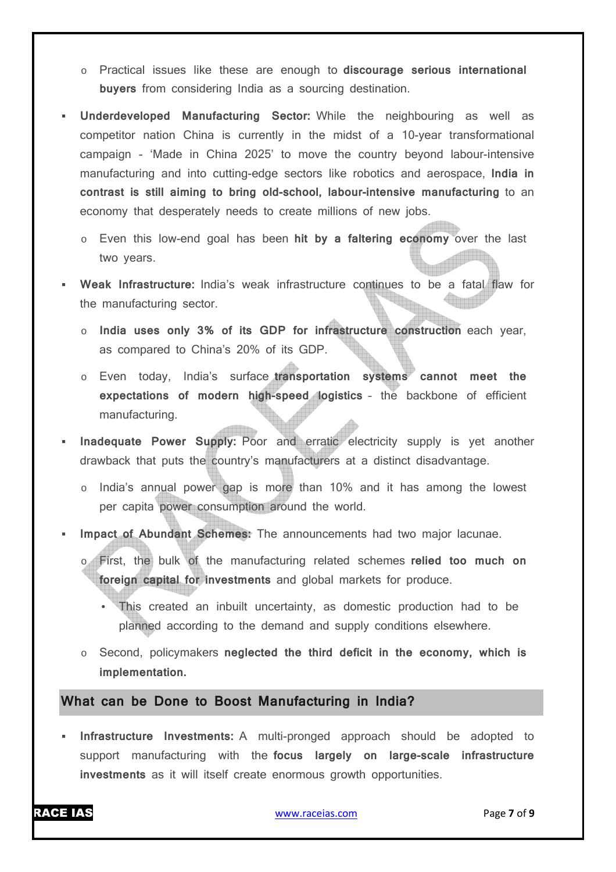- o Practical issues like these are enough to **discourage serious international buyers** from considering India as a sourcing destination.
- **Underdeveloped Manufacturing Sector:** While the neighbouring as well as competitor nation China is currently in the midst of a 10-year transformational campaign - 'Made in China 2025' to move the country beyond labour-intensive manufacturing and into cutting-edge sectors like robotics and aerospace, **India in contrast is still aiming to bring old-school, labour-intensive manufacturing** to an economy that desperately needs to create millions of new jobs.
	- o Even this low-end goal has been **hit by a faltering economy** over the last two years.
- **Weak Infrastructure:** India's weak infrastructure continues to be a fatal flaw for the manufacturing sector.
	- o **India uses only 3% of its GDP for infrastructure construction** each year, as compared to China's 20% of its GDP.
	- o Even today, India's surface **transportation systems cannot meet the expectations of modern high-speed logistics** – the backbone of efficient manufacturing.
- **Inadequate Power Supply:** Poor and erratic electricity supply is yet another drawback that puts the country's manufacturers at a distinct disadvantage.
	- o India's annual power gap is more than 10% and it has among the lowest per capita power consumption around the world.
- **Impact of Abundant Schemes:** The announcements had two major lacunae.
	- o First, the bulk of the manufacturing related schemes **relied too much on foreign capital for investments** and global markets for produce.
		- This created an inbuilt uncertainty, as domestic production had to be planned according to the demand and supply conditions elsewhere.
	- o Second, policymakers **neglected the third deficit in the economy, which is implementation.**

### **What can be Done to Boost Manufacturing in India?**

 **Infrastructure Investments:** A multi-pronged approach should be adopted to support manufacturing with the **focus largely on large-scale infrastructure investments** as it will itself create enormous growth opportunities.

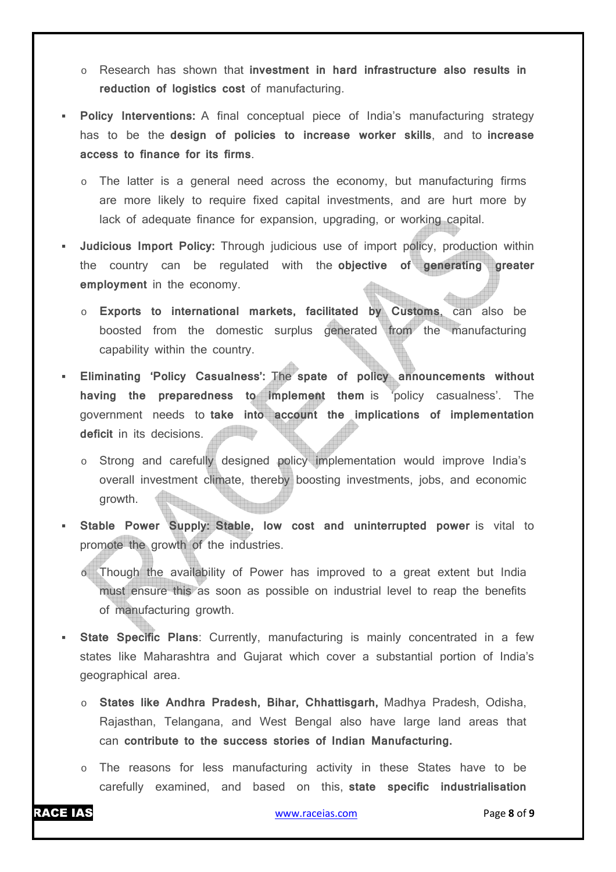- o Research has shown that **investment in hard infrastructure also results in reduction of logistics cost** of manufacturing.
- **Policy Interventions:** A final conceptual piece of India's manufacturing strategy has to be the **design of policies to increase worker skills**, and to **increase access to finance for its firms**.
	- The latter is a general need across the economy, but manufacturing firms are more likely to require fixed capital investments, and are hurt more by lack of adequate finance for expansion, upgrading, or working capital.
- **Judicious Import Policy:** Through judicious use of import policy, production within the country can be regulated with the **objective of generating greater employment** in the economy.
	- o **Exports to international markets, facilitated by Customs**, can also be boosted from the domestic surplus generated from the manufacturing capability within the country.
- **Eliminating 'Policy Casualness':** The **spate of policy announcements without having the preparedness to implement them** is 'policy casualness'. The government needs to **take into account the implications of implementation deficit** in its decisions. **Allian Ma** 
	- Strong and carefully designed policy implementation would improve India's overall investment climate, thereby boosting investments, jobs, and economic growth.
- **Stable Power Supply: Stable, low cost and uninterrupted power** is vital to promote the growth of the industries.
	- o Though the availability of Power has improved to a great extent but India must ensure this as soon as possible on industrial level to reap the benefits of manufacturing growth.
- **State Specific Plans**: Currently, manufacturing is mainly concentrated in a few states like Maharashtra and Gujarat which cover a substantial portion of India's geographical area.
	- o **States like Andhra Pradesh, Bihar, Chhattisgarh,** Madhya Pradesh, Odisha, Rajasthan, Telangana, and West Bengal also have large land areas that can **contribute to the success stories of Indian Manufacturing.**
	- o The reasons for less manufacturing activity in these States have to be carefully examined, and based on this, **state specific industrialisation**